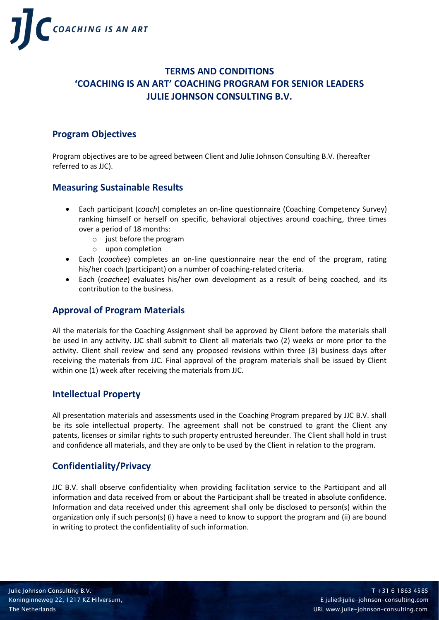

# **TERMS AND CONDITIONS 'COACHING IS AN ART' COACHING PROGRAM FOR SENIOR LEADERS JULIE JOHNSON CONSULTING B.V.**

# **Program Objectives**

Program objectives are to be agreed between Client and Julie Johnson Consulting B.V. (hereafter referred to as JJC).

## **Measuring Sustainable Results**

- Each participant (*coach*) completes an on-line questionnaire (Coaching Competency Survey) ranking himself or herself on specific, behavioral objectives around coaching, three times over a period of 18 months:
	- $\circ$  just before the program
	- o upon completion
- Each (*coachee*) completes an on-line questionnaire near the end of the program, rating his/her coach (participant) on a number of coaching-related criteria.
- Each (*coachee*) evaluates his/her own development as a result of being coached, and its contribution to the business.

## **Approval of Program Materials**

All the materials for the Coaching Assignment shall be approved by Client before the materials shall be used in any activity. JJC shall submit to Client all materials two (2) weeks or more prior to the activity. Client shall review and send any proposed revisions within three (3) business days after receiving the materials from JJC. Final approval of the program materials shall be issued by Client within one (1) week after receiving the materials from JJC.

## **Intellectual Property**

All presentation materials and assessments used in the Coaching Program prepared by JJC B.V. shall be its sole intellectual property. The agreement shall not be construed to grant the Client any patents, licenses or similar rights to such property entrusted hereunder. The Client shall hold in trust and confidence all materials, and they are only to be used by the Client in relation to the program.

# **Confidentiality/Privacy**

JJC B.V. shall observe confidentiality when providing facilitation service to the Participant and all information and data received from or about the Participant shall be treated in absolute confidence. Information and data received under this agreement shall only be disclosed to person(s) within the organization only if such person(s) (i) have a need to know to support the program and (ii) are bound in writing to protect the confidentiality of such information.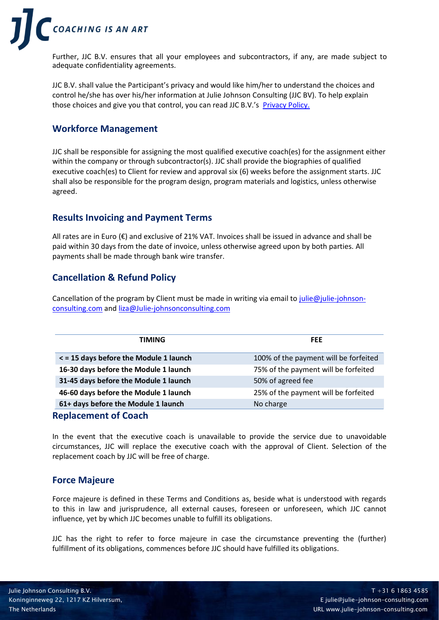

Further, JJC B.V. ensures that all your employees and subcontractors, if any, are made subject to adequate confidentiality agreements.

JJC B.V. shall value the Participant's privacy and would like him/her to understand the choices and control he/she has over his/her information at Julie Johnson Consulting (JJC BV). To help explain those choices and give you that control, you can read JJC B.V.'s [Privacy Policy.](https://www.julie-johnson-consulting.com/upload/66/files/JJC%20BV%20GDPR%20Privacy%20Policy%20May%202022.pdf)

# **Workforce Management**

JJC shall be responsible for assigning the most qualified executive coach(es) for the assignment either within the company or through subcontractor(s). JJC shall provide the biographies of qualified executive coach(es) to Client for review and approval six (6) weeks before the assignment starts. JJC shall also be responsible for the program design, program materials and logistics, unless otherwise agreed.

## **Results Invoicing and Payment Terms**

All rates are in Euro (€) and exclusive of 21% VAT. Invoices shall be issued in advance and shall be paid within 30 days from the date of invoice, unless otherwise agreed upon by both parties. All payments shall be made through bank wire transfer.

# **Cancellation & Refund Policy**

Cancellation of the program by Client must be made in writing via email t[o julie@julie-johnson](mailto:julie@julie-johnson-consulting.com)[consulting.com](mailto:julie@julie-johnson-consulting.com) an[d liza@Julie-johnsonconsulting.com](mailto:liza@Julie-johnsonconsulting.com)

| <b>TIMING</b>                          | <b>FEE</b>                            |
|----------------------------------------|---------------------------------------|
| < = 15 days before the Module 1 launch | 100% of the payment will be forfeited |
| 16-30 days before the Module 1 launch  | 75% of the payment will be forfeited  |
| 31-45 days before the Module 1 launch  | 50% of agreed fee                     |
| 46-60 days before the Module 1 launch  | 25% of the payment will be forfeited  |
| 61+ days before the Module 1 launch    | No charge                             |
| Damha an ann am Albanach               |                                       |

**Replacement of Coach**

In the event that the executive coach is unavailable to provide the service due to unavoidable circumstances, JJC will replace the executive coach with the approval of Client. Selection of the replacement coach by JJC will be free of charge.

## **Force Majeure**

Force majeure is defined in these Terms and Conditions as, beside what is understood with regards to this in law and jurisprudence, all external causes, foreseen or unforeseen, which JJC cannot influence, yet by which JJC becomes unable to fulfill its obligations.

JJC has the right to refer to force majeure in case the circumstance preventing the (further) fulfillment of its obligations, commences before JJC should have fulfilled its obligations.